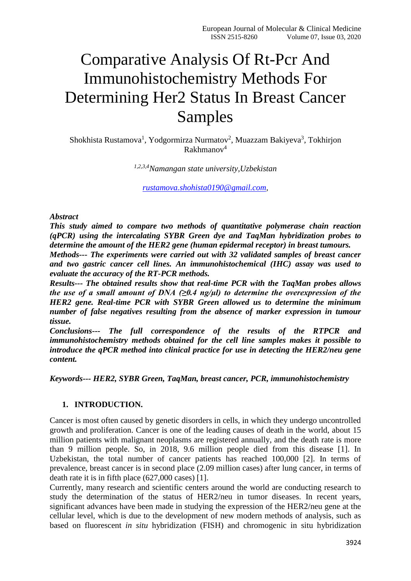# Comparative Analysis Of Rt-Pcr And Immunohistochemistry Methods For Determining Her2 Status In Breast Cancer Samples

Shokhista Rustamova<sup>1</sup>, Yodgormirza Nurmatov<sup>2</sup>, Muazzam Bakiyeva<sup>3</sup>, Tokhirjon  $R$ akhmanov $4$ 

*1,2,3,4Namangan state university,Uzbekistan*

*[rustamova.shohista0190@gmail.com,](mailto:rustamova.shohista0190@gmail.com)*

*Abstract*

*This study aimed to compare two methods of quantitative polymerase chain reaction (qPCR) using the intercalating SYBR Green dye and TaqMan hybridization probes to determine the amount of the HER2 gene (human epidermal receptor) in breast tumours.*

*Methods--- The experiments were carried out with 32 validated samples of breast cancer and two gastric cancer cell lines. An immunohistochemical (IHC) assay was used to evaluate the accuracy of the RT-PCR methods.*

*Results--- The obtained results show that real-time PCR with the TaqMan probes allows the use of a small amount of DNA (* $\geq 0.4$  *ng/µl) to determine the overexpression of the HER2 gene. Real-time PCR with SYBR Green allowed us to determine the minimum number of false negatives resulting from the absence of marker expression in tumour tissue.*

*Conclusions--- The full correspondence of the results of the RTPCR and immunohistochemistry methods obtained for the cell line samples makes it possible to introduce the qPCR method into clinical practice for use in detecting the HER2/neu gene content.*

*Keywords--- HER2, SYBR Green, TaqMan, breast cancer, PCR, immunohistochemistry*

#### **1. INTRODUCTION.**

Cancer is most often caused by genetic disorders in cells, in which they undergo uncontrolled growth and proliferation. Cancer is one of the leading causes of death in the world, about 15 million patients with malignant neoplasms are registered annually, and the death rate is more than 9 million people. So, in 2018, 9.6 million people died from this disease [1]. In Uzbekistan, the total number of cancer patients has reached 100,000 [2]. In terms of prevalence, breast cancer is in second place (2.09 million cases) after lung cancer, in terms of death rate it is in fifth place (627,000 cases) [1].

Currently, many research and scientific centers around the world are conducting research to study the determination of the status of HER2/neu in tumor diseases. In recent years, significant advances have been made in studying the expression of the HER2/neu gene at the cellular level, which is due to the development of new modern methods of analysis, such as based on fluorescent *in situ* hybridization (FISH) and chromogenic in situ hybridization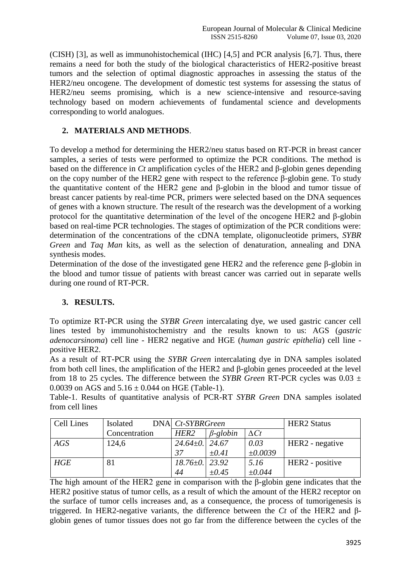(CISH) [3], as well as immunohistochemical (IHC) [4,5] and PCR analysis [6,7]. Thus, there remains a need for both the study of the biological characteristics of HER2-positive breast tumors and the selection of optimal diagnostic approaches in assessing the status of the HER2/neu oncogene. The development of domestic test systems for assessing the status of HER2/neu seems promising, which is a new science-intensive and resource-saving technology based on modern achievements of fundamental science and developments corresponding to world analogues.

## **2. MATERIALS AND METHODS**.

To develop a method for determining the HER2/neu status based on RT-PCR in breast cancer samples, a series of tests were performed to optimize the PCR conditions. The method is based on the difference in *Ct* amplification cycles of the HER2 and β-globin genes depending on the copy number of the HER2 gene with respect to the reference β-globin gene. To study the quantitative content of the HER2 gene and β-globin in the blood and tumor tissue of breast cancer patients by real-time PCR, primers were selected based on the DNA sequences of genes with a known structure. The result of the research was the development of a working protocol for the quantitative determination of the level of the oncogene HER2 and β-globin based on real-time PCR technologies. The stages of optimization of the PCR conditions were: determination of the concentrations of the cDNA template, oligonucleotide primers, *SYBR Green* and *Taq Man* kits, as well as the selection of denaturation, annealing and DNA synthesis modes.

Determination of the dose of the investigated gene HER2 and the reference gene β-globin in the blood and tumor tissue of patients with breast cancer was carried out in separate wells during one round of RT-PCR.

## **3. RESULTS.**

To optimize RT-PCR using the *SYBR Green* intercalating dye, we used gastric cancer cell lines tested by immunohistochemistry and the results known to us: AGS (*gastric adenocarsinoma*) cell line - HER2 negative and HGE (*human gastric epithelia*) cell line positive HER2.

As a result of RT-PCR using the *SYBR Green* intercalating dye in DNA samples isolated from both cell lines, the amplification of the HER2 and β-globin genes proceeded at the level from 18 to 25 cycles. The difference between the *SYBR Green* RT-PCR cycles was 0.03 ± 0.0039 on AGS and  $5.16 \pm 0.044$  on HGE (Table-1).

Table-1. Results of quantitative analysis of PCR-RT *SYBR Green* DNA samples isolated from cell lines

| <b>Cell Lines</b> | <b>Isolated</b> | DNA Ct-SYBRGreen     |                 | <b>HER2</b> Status |                 |
|-------------------|-----------------|----------------------|-----------------|--------------------|-----------------|
|                   | Concentration   | HER <sub>2</sub>     | $\beta$ -globin | $\Delta Ct$        |                 |
| AGS               | 124,6           | $24.64 \pm 0.$ 24.67 |                 | 0.03               | HER2 - negative |
|                   |                 | -37                  | $\pm 0.41$      | ±0.0039            |                 |
| HGE               | 81              | $18.76 \pm 0.$ 23.92 |                 | 5.16               | HER2 - positive |
|                   |                 | 44                   | $\pm 0.45$      | ±0.044             |                 |

The high amount of the HER2 gene in comparison with the β-globin gene indicates that the HER2 positive status of tumor cells, as a result of which the amount of the HER2 receptor on the surface of tumor cells increases and, as a consequence, the process of tumorigenesis is triggered. In HER2-negative variants, the difference between the *Ct* of the HER2 and βglobin genes of tumor tissues does not go far from the difference between the cycles of the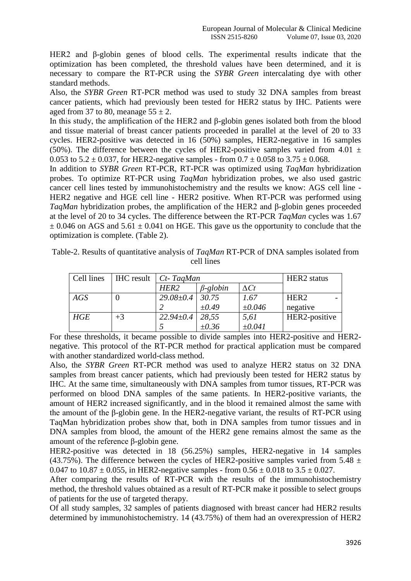HER2 and β-globin genes of blood cells. The experimental results indicate that the optimization has been completed, the threshold values have been determined, and it is necessary to compare the RT-PCR using the *SYBR Green* intercalating dye with other standard methods.

Also, the *SYBR Green* RT-PCR method was used to study 32 DNA samples from breast cancer patients, which had previously been tested for HER2 status by IHC. Patients were aged from 37 to 80, meanage  $55 \pm 2$ .

In this study, the amplification of the HER2 and β-globin genes isolated both from the blood and tissue material of breast cancer patients proceeded in parallel at the level of 20 to 33 cycles. HER2-positive was detected in 16 (50%) samples, HER2-negative in 16 samples (50%). The difference between the cycles of HER2-positive samples varied from 4.01  $\pm$ 0.053 to  $5.2 \pm 0.037$ , for HER2-negative samples - from  $0.7 \pm 0.058$  to  $3.75 \pm 0.068$ .

In addition to *SYBR Green* RT-PCR, RT-PCR was optimized using *TaqMan* hybridization probes. To optimize RT-PCR using *TaqMan* hybridization probes, we also used gastric cancer cell lines tested by immunohistochemistry and the results we know: AGS cell line - HER2 negative and HGE cell line - HER2 positive. When RT-PCR was performed using *TaqMan* hybridization probes, the amplification of the HER2 and β-globin genes proceeded at the level of 20 to 34 cycles. The difference between the RT-PCR *TaqMan* cycles was 1.67  $\pm$  0.046 on AGS and 5.61  $\pm$  0.041 on HGE. This gave us the opportunity to conclude that the optimization is complete. (Table 2).

| Table-2. Results of quantitative analysis of TaqMan RT-PCR of DNA samples isolated from |
|-----------------------------------------------------------------------------------------|
| cell lines                                                                              |

| Cell lines |      | $HIC$ result $Ct$ - TagMan | HER2 status     |             |                  |
|------------|------|----------------------------|-----------------|-------------|------------------|
|            |      | HER <sub>2</sub>           | $\beta$ -globin | $\Delta Ct$ |                  |
| AGS        |      | $29.08 \pm 0.4$            | 30.75           | 1.67        | HER <sub>2</sub> |
|            |      |                            | $\pm 0.49$      | $\pm 0.046$ | negative         |
| HGE        | $+3$ | $22.94 \pm 0.4$            | 28,55           | 5,61        | HER2-positive    |
|            |      |                            | $\pm 0.36$      | $\pm 0.041$ |                  |

For these thresholds, it became possible to divide samples into HER2-positive and HER2 negative. This protocol of the RT-PCR method for practical application must be compared with another standardized world-class method.

Also, the *SYBR Green* RT-PCR method was used to analyze HER2 status on 32 DNA samples from breast cancer patients, which had previously been tested for HER2 status by IHC. At the same time, simultaneously with DNA samples from tumor tissues, RT-PCR was performed on blood DNA samples of the same patients. In HER2-positive variants, the amount of HER2 increased significantly, and in the blood it remained almost the same with the amount of the β-globin gene. In the HER2-negative variant, the results of RT-PCR using TaqMan hybridization probes show that, both in DNA samples from tumor tissues and in DNA samples from blood, the amount of the HER2 gene remains almost the same as the amount of the reference β-globin gene.

HER2-positive was detected in 18 (56.25%) samples, HER2-negative in 14 samples (43.75%). The difference between the cycles of HER2-positive samples varied from 5.48  $\pm$ 0.047 to  $10.87 \pm 0.055$ , in HER2-negative samples - from  $0.56 \pm 0.018$  to  $3.5 \pm 0.027$ .

After comparing the results of RT-PCR with the results of the immunohistochemistry method, the threshold values obtained as a result of RT-PCR make it possible to select groups of patients for the use of targeted therapy.

Of all study samples, 32 samples of patients diagnosed with breast cancer had HER2 results determined by immunohistochemistry. 14 (43.75%) of them had an overexpression of HER2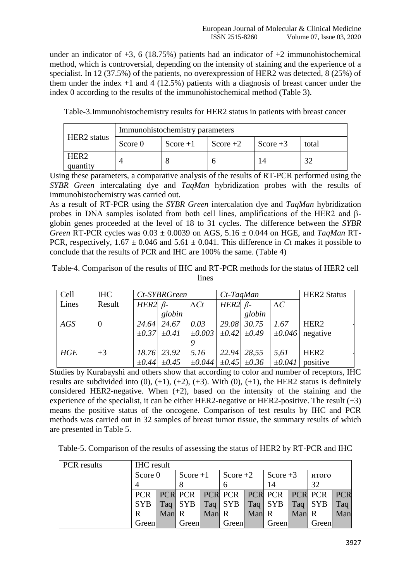under an indicator of  $+3$ , 6 (18.75%) patients had an indicator of  $+2$  immunohistochemical method, which is controversial, depending on the intensity of staining and the experience of a specialist. In 12 (37.5%) of the patients, no overexpression of HER2 was detected, 8 (25%) of them under the index  $+1$  and  $4$  (12.5%) patients with a diagnosis of breast cancer under the index 0 according to the results of the immunohistochemical method (Table 3).

Table-3.Immunohistochemistry results for HER2 status in patients with breast cancer

| <b>HER2</b> status           | Immunohistochemistry parameters |            |            |            |             |  |  |  |  |
|------------------------------|---------------------------------|------------|------------|------------|-------------|--|--|--|--|
|                              | Score 0                         | Score $+1$ | Score $+2$ | Score $+3$ | total       |  |  |  |  |
| HER <sub>2</sub><br>quantity |                                 |            |            |            | $2^{\circ}$ |  |  |  |  |

Using these parameters, a comparative analysis of the results of RT-PCR performed using the *SYBR Green* intercalating dye and *TaqMan* hybridization probes with the results of immunohistochemistry was carried out.

As a result of RT-PCR using the *SYBR Green* intercalation dye and *TaqMan* hybridization probes in DNA samples isolated from both cell lines, amplifications of the HER2 and βglobin genes proceeded at the level of 18 to 31 cycles. The difference between the *SYBR Green* RT-PCR cycles was 0.03 ± 0.0039 on AGS, 5.16 ± 0.044 on HGE, and *TaqMan* RT-PCR, respectively,  $1.67 \pm 0.046$  and  $5.61 \pm 0.041$ . This difference in *Ct* makes it possible to conclude that the results of PCR and IHC are 100% the same. (Table 4)

Table-4. Comparison of the results of IHC and RT-PCR methods for the status of HER2 cell lines

| Cell  | <b>IHC</b> | Ct-SYBRGreen   |                       |             | $Ct$ -TaqMan  |                     | <b>HER2</b> Status |                  |
|-------|------------|----------------|-----------------------|-------------|---------------|---------------------|--------------------|------------------|
| Lines | Result     | HER2 $\beta$ - |                       | $\Delta Ct$ | $HER2\beta$ - |                     | $\Delta C$         |                  |
|       |            |                | globin                |             |               | globin              |                    |                  |
| AGS   | $\theta$   |                | 24.64 24.67           | 0.03        |               | 29.08 30.75         | 1.67               | HER <sub>2</sub> |
|       |            |                | $\pm 0.37$ $\pm 0.41$ | $\pm 0.003$ |               | $\pm 0.42 \pm 0.49$ | $\pm 0.046$        | negative         |
|       |            |                |                       | 9           |               |                     |                    |                  |
| HGE   | $+3$       |                | 18.76 23.92           | 5.16        | 22.94         | 28,55               | 5,61               | HER <sub>2</sub> |
|       |            | $\pm 0.44$     | $\pm 0.45$            | $\pm 0.044$ | $\pm 0.45$    | $\pm 0.36$          | $\pm 0.041$        | positive         |

Studies by Kurabayshi and others show that according to color and number of receptors, IHC results are subdivided into  $(0)$ ,  $(+1)$ ,  $(+2)$ ,  $(+3)$ . With  $(0)$ ,  $(+1)$ , the HER2 status is definitely considered HER2-negative. When  $(+2)$ , based on the intensity of the staining and the experience of the specialist, it can be either HER2-negative or HER2-positive. The result  $(+3)$ means the positive status of the oncogene. Comparison of test results by IHC and PCR methods was carried out in 32 samples of breast tumor tissue, the summary results of which are presented in Table 5.

Table-5. Comparison of the results of assessing the status of HER2 by RT-PCR and IHC

| <b>PCR</b> results | <b>IHC</b> result |       |            |       |                                         |       |                     |       |       |     |
|--------------------|-------------------|-------|------------|-------|-----------------------------------------|-------|---------------------|-------|-------|-----|
|                    | Score 0           |       | Score $+1$ |       | Score $+2$                              |       | Score $+3$          |       | итого |     |
|                    |                   |       |            |       |                                         |       | 14                  |       | 32    |     |
|                    | <b>PCR</b>        |       |            |       | PCR PCR PCR PCR PCR PCR PCR PCR PCR PCR |       |                     |       |       |     |
|                    | <b>SYB</b>        |       | $Taq$ SYB  |       | $Taq$ SYB                               |       | $Taq$ SYB $Taq$ SYB |       |       | Taq |
|                    | R                 | Man R |            | Man R |                                         | Man R |                     | Man R |       | Man |
|                    | Green             |       | Green      |       | Green                                   |       | Green               |       | Green |     |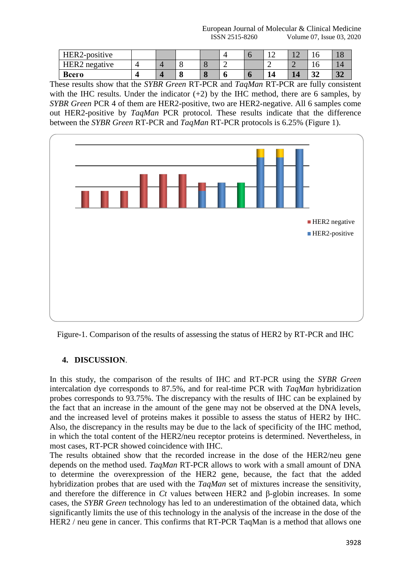European Journal of Molecular & Clinical Medicine ISSN 2515-8260 Volume 07, Issue 03, 2020

| HER2-positive |  |  |   |    | -- | ╰         |             |
|---------------|--|--|---|----|----|-----------|-------------|
| HER2 negative |  |  |   |    | _  | v         |             |
| Всего         |  |  | υ | u. |    | . .<br>◡∸ | $J_{\rm A}$ |

These results show that the *SYBR Green* RT-PCR and *TaqMan* RT-PCR are fully consistent with the IHC results. Under the indicator  $(+2)$  by the IHC method, there are 6 samples, by *SYBR Green* PCR 4 of them are HER2-positive, two are HER2-negative. All 6 samples come out HER2-positive by *TaqMan* PCR protocol. These results indicate that the difference between the *SYBR Green* RT-PCR and *TaqMan* RT-PCR protocols is 6.25% (Figure 1).



Figure-1. Comparison of the results of assessing the status of HER2 by RT-PCR and IHC

### **4. DISCUSSION**.

In this study, the comparison of the results of IHC and RT-PCR using the *SYBR Green* intercalation dye corresponds to 87.5%, and for real-time PCR with *TaqMan* hybridization probes corresponds to 93.75%. The discrepancy with the results of IHC can be explained by the fact that an increase in the amount of the gene may not be observed at the DNA levels, and the increased level of proteins makes it possible to assess the status of HER2 by IHC. Also, the discrepancy in the results may be due to the lack of specificity of the IHC method, in which the total content of the HER2/neu receptor proteins is determined. Nevertheless, in most cases, RT-PCR showed coincidence with IHC.

The results obtained show that the recorded increase in the dose of the HER2/neu gene depends on the method used. *TaqMan* RT-PCR allows to work with a small amount of DNA to determine the overexpression of the HER2 gene, because, the fact that the added hybridization probes that are used with the *TaqMan* set of mixtures increase the sensitivity, and therefore the difference in *Ct* values between HER2 and β-globin increases. In some cases, the *SYBR Green* technology has led to an underestimation of the obtained data, which significantly limits the use of this technology in the analysis of the increase in the dose of the HER2 / neu gene in cancer. This confirms that RT-PCR TaqMan is a method that allows one